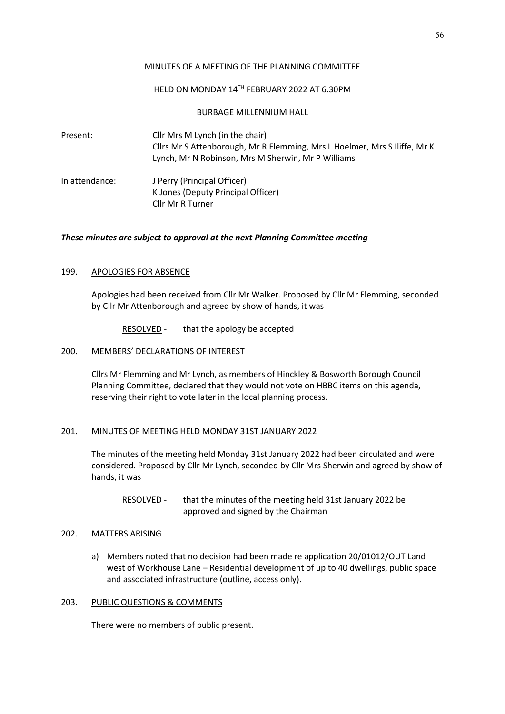## MINUTES OF A MEETING OF THE PLANNING COMMITTEE

## HELD ON MONDAY 14TH FEBRUARY 2022 AT 6.30PM

### BURBAGE MILLENNIUM HALL

Present: Cllr Mrs M Lynch (in the chair) Cllrs Mr S Attenborough, Mr R Flemming, Mrs L Hoelmer, Mrs S Iliffe, Mr K Lynch, Mr N Robinson, Mrs M Sherwin, Mr P Williams In attendance: J Perry (Principal Officer) K Jones (Deputy Principal Officer) Cllr Mr R Turner

## *These minutes are subject to approval at the next Planning Committee meeting*

### 199. APOLOGIES FOR ABSENCE

Apologies had been received from Cllr Mr Walker. Proposed by Cllr Mr Flemming, seconded by Cllr Mr Attenborough and agreed by show of hands, it was

RESOLVED - that the apology be accepted

#### 200. MEMBERS' DECLARATIONS OF INTEREST

Cllrs Mr Flemming and Mr Lynch, as members of Hinckley & Bosworth Borough Council Planning Committee, declared that they would not vote on HBBC items on this agenda, reserving their right to vote later in the local planning process.

# 201. MINUTES OF MEETING HELD MONDAY 31ST JANUARY 2022

The minutes of the meeting held Monday 31st January 2022 had been circulated and were considered. Proposed by Cllr Mr Lynch, seconded by Cllr Mrs Sherwin and agreed by show of hands, it was

RESOLVED - that the minutes of the meeting held 31st January 2022 be approved and signed by the Chairman

## 202. MATTERS ARISING

a) Members noted that no decision had been made re application 20/01012/OUT Land west of Workhouse Lane – Residential development of up to 40 dwellings, public space and associated infrastructure (outline, access only).

### 203. PUBLIC QUESTIONS & COMMENTS

There were no members of public present.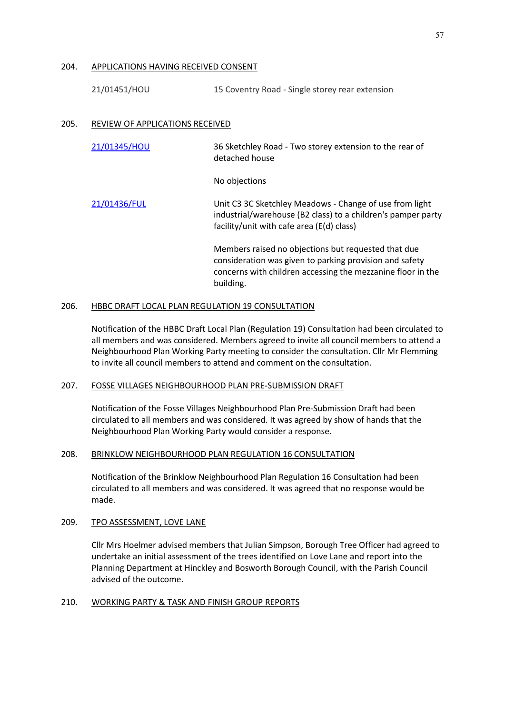#### 204. APPLICATIONS HAVING RECEIVED CONSENT

21/01451/HOU 15 Coventry Road - Single storey rear extension

### 205. REVIEW OF APPLICATIONS RECEIVED

| 21/01345/HOU | 36 Sketchley Road - Two storey extension to the rear of<br>detached house                                                                                                                  |
|--------------|--------------------------------------------------------------------------------------------------------------------------------------------------------------------------------------------|
|              | No objections                                                                                                                                                                              |
| 21/01436/FUL | Unit C3 3C Sketchley Meadows - Change of use from light<br>industrial/warehouse (B2 class) to a children's pamper party<br>facility/unit with cafe area (E(d) class)                       |
|              | Members raised no objections but requested that due<br>consideration was given to parking provision and safety<br>concerns with children accessing the mezzanine floor in the<br>building. |

#### 206. HBBC DRAFT LOCAL PLAN REGULATION 19 CONSULTATION

Notification of the HBBC Draft Local Plan (Regulation 19) Consultation had been circulated to all members and was considered. Members agreed to invite all council members to attend a Neighbourhood Plan Working Party meeting to consider the consultation. Cllr Mr Flemming to invite all council members to attend and comment on the consultation.

### 207. FOSSE VILLAGES NEIGHBOURHOOD PLAN PRE-SUBMISSION DRAFT

Notification of the Fosse Villages Neighbourhood Plan Pre-Submission Draft had been circulated to all members and was considered. It was agreed by show of hands that the Neighbourhood Plan Working Party would consider a response.

## 208. BRINKLOW NEIGHBOURHOOD PLAN REGULATION 16 CONSULTATION

Notification of the Brinklow Neighbourhood Plan Regulation 16 Consultation had been circulated to all members and was considered. It was agreed that no response would be made.

## 209. TPO ASSESSMENT, LOVE LANE

Cllr Mrs Hoelmer advised members that Julian Simpson, Borough Tree Officer had agreed to undertake an initial assessment of the trees identified on Love Lane and report into the Planning Department at Hinckley and Bosworth Borough Council, with the Parish Council advised of the outcome.

#### 210. WORKING PARTY & TASK AND FINISH GROUP REPORTS